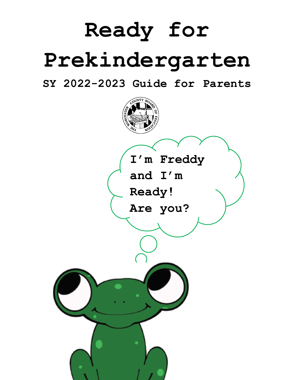# **Ready for Prekindergarten**

**SY 2022-2023 Guide for Parents**

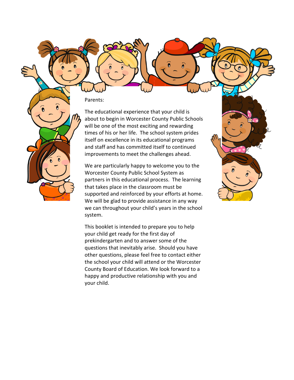Parents:

The educational experience that your child is about to begin in Worcester County Public Schools will be one of the most exciting and rewarding times of his or her life. The school system prides itself on excellence in its educational programs and staff and has committed itself to continued improvements to meet the challenges ahead.

We are particularly happy to welcome you to the Worcester County Public School System as partners in this educational process. The learning that takes place in the classroom must be supported and reinforced by your efforts at home. We will be glad to provide assistance in any way we can throughout your child's years in the school system.

This booklet is intended to prepare you to help your child get ready for the first day of prekindergarten and to answer some of the questions that inevitably arise. Should you have other questions, please feel free to contact either the school your child will attend or the Worcester County Board of Education. We look forward to a happy and productive relationship with you and your child.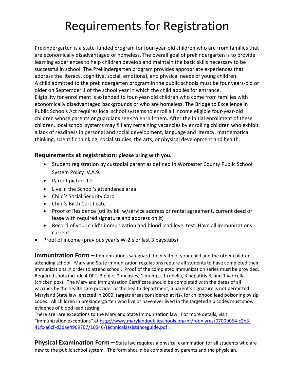## Requirements for Registration

Prekindergarten is a state-funded program for four-year-old children who are from families that are economically disadvantaged or homeless. The overall goal of prekindergarten is to provide learning experiences to help children develop and maintain the basic skills necessary to be successful in school. The Prekindergarten program provides appropriate experiences that address the literacy, cognitive, social, emotional, and physical needs of young children. A child admitted to the prekindergarten program in the public schools must be four years-old or older on September 1 of the school year in which the child applies for entrance. Eligibility for enrollment is extended to four-year-old children who come from families with economically disadvantaged backgrounds or who are homeless. The Bridge to Excellence in Public Schools Act requires local school systems to enroll all income eligible four-year-old children whose parents or guardians seek to enroll them. After the initial enrollment of these children, local school systems may fill any remaining vacancies by enrolling children who exhibit a lack of readiness in personal and social development, language and literacy, mathematical thinking, scientific thinking, social studies, the arts, or physical development and health.

#### **Requirements at registration: please bring with you.**

- Student registration by custodial parent as defined in Worcester County Public School System Policy IV.A.9.
- Parent picture ID
- Live in the School's attendance area
- Child's Social Security Card
- Child's Birth Certificate
- Proof of Residence (utility bill w/service address or rental agreement, current deed or lease with required signature and address on it)
- Record of your child's immunization and blood lead level test: Have all immunizations current
- Proof of income (previous year's W-2's or last 3 paystubs)

**Immunization Form –** Immunizations safeguard the health of your child and the other children attending school. Maryland State immunization regulations require all students to have completed their immunizations in order to attend school. Proof of the completed immunization series must be provided. Required shots include 4 DPT, 3 polio, 2 measles, 1 mumps, 1 rubella, 3 hepatitis B, and 1 varicella (chicken pox). The Maryland Immunization Certificate should be completed with the dates of all vaccines by the health care provider or the health department; a parent's signature is not permitted. Maryland State law, enacted in 2000, targets areas considered at risk for childhood lead poisoning by zip codes. All children in prekindergarten who live or have ever lived in the targeted zip codes must show evidence of blood lead testing.

There are rare exceptions to the Maryland State immunization law. For more details, visit "immunization exceptions" at http://www.marylandpublicschools.org/nr/rdonlyres/0700b064-c2b3- 41fc-a6cf-d3dae4969707/10546/technicalassistanceguide.pdf .

**Physical Examination Form –** State law requires a physical examination for all students who are new to the public school system. The form should be completed by parents and the physician.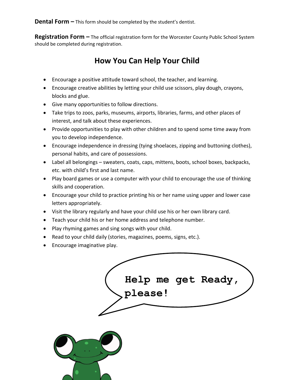**Dental Form –** This form should be completed by the student's dentist.

**Registration Form –** The official registration form for the Worcester County Public School System should be completed during registration.

## **How You Can Help Your Child**

- Encourage a positive attitude toward school, the teacher, and learning.
- Encourage creative abilities by letting your child use scissors, play dough, crayons, blocks and glue.
- Give many opportunities to follow directions.
- Take trips to zoos, parks, museums, airports, libraries, farms, and other places of interest, and talk about these experiences.
- Provide opportunities to play with other children and to spend some time away from you to develop independence.
- Encourage independence in dressing (tying shoelaces, zipping and buttoning clothes), personal habits, and care of possessions.
- Label all belongings sweaters, coats, caps, mittens, boots, school boxes, backpacks, etc. with child's first and last name.
- Play board games or use a computer with your child to encourage the use of thinking skills and cooperation.
- Encourage your child to practice printing his or her name using upper and lower case letters appropriately.
- Visit the library regularly and have your child use his or her own library card.
- Teach your child his or her home address and telephone number.
- Play rhyming games and sing songs with your child.
- Read to your child daily (stories, magazines, poems, signs, etc.).
- Encourage imaginative play.

| Help me get Ready,<br>please! |  |
|-------------------------------|--|
|                               |  |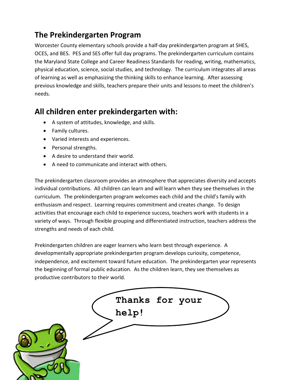## **The Prekindergarten Program**

Worcester County elementary schools provide a half-day prekindergarten program at SHES, OCES, and BES. PES and SES offer full day programs. The prekindergarten curriculum contains the Maryland State College and Career Readiness Standards for reading, writing, mathematics, physical education, science, social studies, and technology. The curriculum integrates all areas of learning as well as emphasizing the thinking skills to enhance learning. After assessing previous knowledge and skills, teachers prepare their units and lessons to meet the children's needs.

## **All children enter prekindergarten with:**

- A system of attitudes, knowledge, and skills.
- Family cultures.
- Varied interests and experiences.
- Personal strengths.
- A desire to understand their world.
- A need to communicate and interact with others.

The prekindergarten classroom provides an atmosphere that appreciates diversity and accepts individual contributions. All children can learn and will learn when they see themselves in the curriculum. The prekindergarten program welcomes each child and the child's family with enthusiasm and respect. Learning requires commitment and creates change. To design activities that encourage each child to experience success, teachers work with students in a variety of ways. Through flexible grouping and differentiated instruction, teachers address the strengths and needs of each child.

Prekindergarten children are eager learners who learn best through experience. A developmentally appropriate prekindergarten program develops curiosity, competence, independence, and excitement toward future education. The prekindergarten year represents the beginning of formal public education. As the children learn, they see themselves as productive contributors to their world.

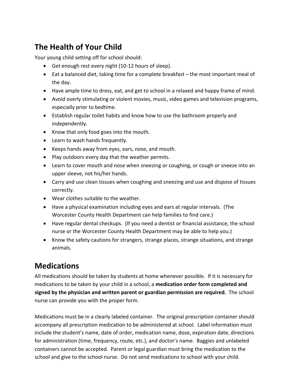## **The Health of Your Child**

Your young child setting off for school should:

- Get enough rest every night (10-12 hours of sleep).
- Eat a balanced diet, taking time for a complete breakfast the most important meal of the day.
- Have ample time to dress, eat, and get to school in a relaxed and happy frame of mind.
- Avoid overly stimulating or violent movies, music, video games and television programs, especially prior to bedtime.
- Establish regular toilet habits and know how to use the bathroom properly and independently.
- Know that only food goes into the mouth.
- Learn to wash hands frequently.
- Keeps hands away from eyes, ears, nose, and mouth.
- Play outdoors every day that the weather permits.
- Learn to cover mouth and nose when sneezing or coughing, or cough or sneeze into an upper sleeve, not his/her hands.
- Carry and use clean tissues when coughing and sneezing and use and dispose of tissues correctly.
- Wear clothes suitable to the weather.
- Have a physical examination including eyes and ears at regular intervals. (The Worcester County Health Department can help families to find care.)
- Have regular dental checkups. (If you need a dentist or financial assistance, the school nurse or the Worcester County Health Department may be able to help you.)
- Know the safety cautions for strangers, strange places, strange situations, and strange animals.

## **Medications**

All medications should be taken by students at home whenever possible. If it is necessary for medications to be taken by your child in a school, a **medication order form completed and signed by the physician and written parent or guardian permission are required.** The school nurse can provide you with the proper form.

Medications must be in a clearly labeled container. The original prescription container should accompany all prescription medication to be administered at school. Label information must include the student's name, date of order, medication name, dose, expiration date, directions for administration (time, frequency, route, etc.), and doctor's name. Baggies and unlabeled containers cannot be accepted. Parent or legal guardian must bring the medication to the school and give to the school nurse. Do not send medications to school with your child.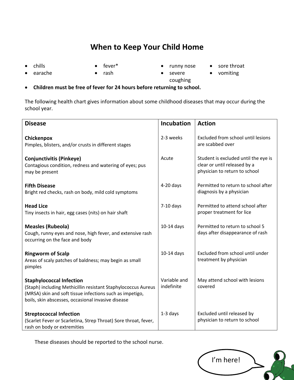## **When to Keep Your Child Home**

- 
- chills fever\* runny nose sore throat
- 
- earache rash severe
	- coughing
- vomiting
- **Children must be free of fever for 24 hours before returning to school.**

The following health chart gives information about some childhood diseases that may occur during the school year.

| <b>Disease</b>                                                                                                                                                                                                     | <b>Incubation</b>          | <b>Action</b>                                                                                         |  |
|--------------------------------------------------------------------------------------------------------------------------------------------------------------------------------------------------------------------|----------------------------|-------------------------------------------------------------------------------------------------------|--|
| Chickenpox<br>Pimples, blisters, and/or crusts in different stages                                                                                                                                                 | 2-3 weeks                  | Excluded from school until lesions<br>are scabbed over                                                |  |
| <b>Conjunctivitis (Pinkeye)</b><br>Contagious condition, redness and watering of eyes; pus<br>may be present                                                                                                       | Acute                      | Student is excluded until the eye is<br>clear or until released by a<br>physician to return to school |  |
| <b>Fifth Disease</b><br>Bright red checks, rash on body, mild cold symptoms                                                                                                                                        | $4-20$ days                | Permitted to return to school after<br>diagnosis by a physician                                       |  |
| <b>Head Lice</b><br>Tiny insects in hair, egg cases (nits) on hair shaft                                                                                                                                           | $7-10$ days                | Permitted to attend school after<br>proper treatment for lice                                         |  |
| <b>Measles (Rubeola)</b><br>Cough, runny eyes and nose, high fever, and extensive rash<br>occurring on the face and body                                                                                           | 10-14 days                 | Permitted to return to school 5<br>days after disappearance of rash                                   |  |
| <b>Ringworm of Scalp</b><br>Areas of scaly patches of baldness; may begin as small<br>pimples                                                                                                                      | $10-14$ days               | Excluded from school until under<br>treatment by physician                                            |  |
| <b>Staphylococcal Infection</b><br>(Staph) including Methicillin resistant Staphylococcus Aureus<br>(MRSA) skin and soft tissue infections such as impetigo,<br>boils, skin abscesses, occasional invasive disease | Variable and<br>indefinite | May attend school with lesions<br>covered                                                             |  |
| <b>Streptococcal Infection</b><br>(Scarlet Fever or Scarletina, Strep Throat) Sore throat, fever,<br>rash on body or extremities                                                                                   | 1-3 days                   | Excluded until released by<br>physician to return to school                                           |  |

These diseases should be reported to the school nurse.

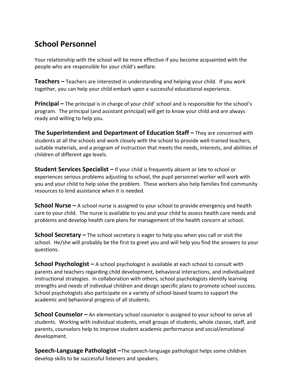## **School Personnel**

Your relationship with the school will be more effective if you become acquainted with the people who are responsible for your child's welfare.

**Teachers –** Teachers are interested in understanding and helping your child. If you work together, you can help your child embark upon a successful educational experience.

**Principal –** The principal is in charge of your child' school and is responsible for the school's program. The principal (and assistant principal) will get to know your child and are always ready and willing to help you.

**The Superintendent and Department of Education Staff –** They are concerned with students at all the schools and work closely with the school to provide well-trained teachers, suitable materials, and a program of instruction that meets the needs, interests, and abilities of children of different age levels.

**Student Services Specialist –** If your child is frequently absent or late to school or experiences serious problems adjusting to school, the pupil personnel worker will work with you and your child to help solve the problem. These workers also help families find community resources to lend assistance when it is needed.

**School Nurse –** A school nurse is assigned to your school to provide emergency and health care to your child. The nurse is available to you and your child to assess health care needs and problems and develop health care plans for management of the health concern at school.

**School Secretary –** The school secretary is eager to help you when you call or visit the school. He/she will probably be the first to greet you and will help you find the answers to your questions.

**School Psychologist –** A school psychologist is available at each school to consult with parents and teachers regarding child development, behavioral interactions, and individualized instructional strategies. In collaboration with others, school psychologists identify learning strengths and needs of individual children and design specific plans to promote school success. School psychologists also participate on a variety of school-based teams to support the academic and behavioral progress of all students.

**School Counselor –** An elementary school counselor is assigned to your school to serve all students. Working with individual students, small groups of students, whole classes, staff, and parents, counselors help to improve student academic performance and social/emotional development.

**Speech-Language Pathologist –**The speech-language pathologist helps some children develop skills to be successful listeners and speakers.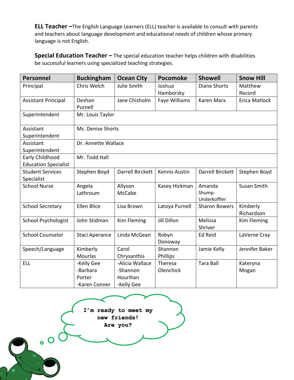**ELL Teacher –**The English Language Learners (ELL) teacher is available to consult with parents and teachers about language development and educational needs of children whose primary language is not English.

**Special Education Teacher –** The special education teacher helps children with disabilities be successful learners using specialized teaching strategies.

| <b>Personnel</b>            | <b>Buckingham</b>   | <b>Ocean City</b>  | Pocomoke            | <b>Showell</b>          | <b>Snow Hill</b>  |
|-----------------------------|---------------------|--------------------|---------------------|-------------------------|-------------------|
| Principal                   | Chris Welch         | <b>Julie Smith</b> | Joshua<br>Hamborsky | <b>Diane Shorts</b>     | Matthew<br>Record |
| <b>Assistant Principal</b>  | Deshon<br>Purnell   | Jane Chisholm      | Faye Williams       | <b>Karen Marx</b>       | Erica Matlock     |
| Superintendent              | Mr. Louis Taylor    |                    |                     |                         |                   |
| Assistant                   | Ms. Denise Shorts   |                    |                     |                         |                   |
| Superintendent              |                     |                    |                     |                         |                   |
| Assistant                   | Dr. Annette Wallace |                    |                     |                         |                   |
| Superintendent              |                     |                    |                     |                         |                   |
| Early Childhood             | Mr. Todd Hall       |                    |                     |                         |                   |
| <b>Education Specialist</b> |                     |                    |                     |                         |                   |
| <b>Student Services</b>     | Stephen Boyd        | Darrell Birckett   | Kennis Austin       | <b>Darrell Birckett</b> | Stephen Boyd      |
| Specialist                  |                     |                    |                     |                         |                   |
| <b>School Nurse</b>         | Angela              | Allyson            | Kasey Hickman       | Amanda                  | Susan Smith       |
|                             | Lathroum            | <b>McCabe</b>      |                     | Shump-<br>Underkoffler  |                   |
| <b>School Secretary</b>     | <b>Ellen Blice</b>  | Lisa Brown         | Latoya Purnell      | <b>Sharon Bowers</b>    | Kimberly          |
|                             |                     |                    |                     |                         | Richardson        |
| <b>School Psychologist</b>  | John Stidman        | Kim Fleming        | <b>Jill Dillon</b>  | Melissa                 | Kim Fleming       |
|                             |                     |                    |                     | Shriver                 |                   |
| <b>School Counselor</b>     | Staci Aperance      | Linda McGean       | Robyn               | <b>Ed Reid</b>          | LaVerne Cray      |
|                             |                     |                    | Donoway             |                         |                   |
| Speech/Language             | Kimberly            | Carol              | Shannon             | Jamie Kelly             | Jennifer Baker    |
|                             | <b>Mourlas</b>      | Chrysanthis        | Phillips            |                         |                   |
| <b>ELL</b>                  | -Kelly Gee          | -Alicia Wallace    | Theresa             | <b>Tara Ball</b>        | Kateryna          |
|                             | -Barbara            | -Shannon           | Olenchick           |                         | Mogan             |
|                             | Porter              | Hourihan           |                     |                         |                   |
|                             | -Karen Conner       | -Kelly Gee         |                     |                         |                   |



 $\bullet$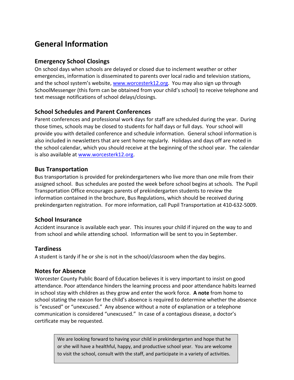## **General Information**

#### **Emergency School Closings**

On school days when schools are delayed or closed due to inclement weather or other emergencies, information is disseminated to parents over local radio and television stations, and the school system's website, www.worcesterk12.org. You may also sign up through SchoolMessenger (this form can be obtained from your child's school) to receive telephone and text message notifications of school delays/closings.

#### **School Schedules and Parent Conferences**

Parent conferences and professional work days for staff are scheduled during the year. During those times, schools may be closed to students for half days or full days. Your school will provide you with detailed conference and schedule information. General school information is also included in newsletters that are sent home regularly. Holidays and days off are noted in the school calendar, which you should receive at the beginning of the school year. The calendar is also available at www.worcesterk12.org.

#### **Bus Transportation**

Bus transportation is provided for prekindergarteners who live more than one mile from their assigned school. Bus schedules are posted the week before school begins at schools. The Pupil Transportation Office encourages parents of prekindergarten students to review the information contained in the brochure, Bus Regulations, which should be received during prekindergarten registration. For more information, call Pupil Transportation at 410-632-5009.

#### **School Insurance**

Accident insurance is available each year. This insures your child if injured on the way to and from school and while attending school. Information will be sent to you in September.

#### **Tardiness**

A student is tardy if he or she is not in the school/classroom when the day begins.

#### **Notes for Absence**

Worcester County Public Board of Education believes it is very important to insist on good attendance. Poor attendance hinders the learning process and poor attendance habits learned in school stay with children as they grow and enter the work force. **A note** from home to school stating the reason for the child's absence is required to determine whether the absence is "excused" or "unexcused." Any absence without a note of explanation or a telephone communication is considered "unexcused." In case of a contagious disease, a doctor's certificate may be requested.

> We are looking forward to having your child in prekindergarten and hope that he or she will have a healthful, happy, and productive school year. You are welcome to visit the school, consult with the staff, and participate in a variety of activities.